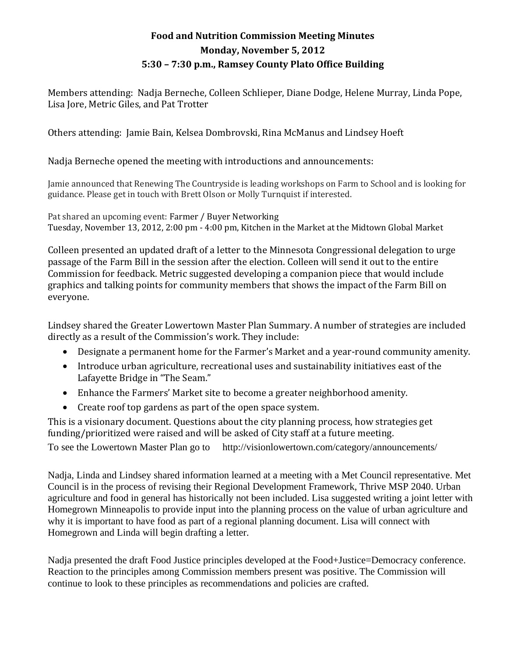## **Food and Nutrition Commission Meeting Minutes Monday, November 5, 2012 5:30 – 7:30 p.m., Ramsey County Plato Office Building**

Members attending: Nadja Berneche, Colleen Schlieper, Diane Dodge, Helene Murray, Linda Pope, Lisa Jore, Metric Giles, and Pat Trotter

Others attending: Jamie Bain, Kelsea Dombrovski, Rina McManus and Lindsey Hoeft

Nadja Berneche opened the meeting with introductions and announcements:

Jamie announced that Renewing The Countryside is leading workshops on Farm to School and is looking for guidance. Please get in touch with Brett Olson or Molly Turnquist if interested.

Pat shared an upcoming event: Farmer / Buyer Networking Tuesday, November 13, 2012, 2:00 pm - 4:00 pm, Kitchen in the Market at the Midtown Global Market

Colleen presented an updated draft of a letter to the Minnesota Congressional delegation to urge passage of the Farm Bill in the session after the election. Colleen will send it out to the entire Commission for feedback. Metric suggested developing a companion piece that would include graphics and talking points for community members that shows the impact of the Farm Bill on everyone.

Lindsey shared the Greater Lowertown Master Plan Summary. A number of strategies are included directly as a result of the Commission's work. They include:

- Designate a permanent home for the Farmer's Market and a year-round community amenity.
- Introduce urban agriculture, recreational uses and sustainability initiatives east of the Lafayette Bridge in "The Seam."
- Enhance the Farmers' Market site to become a greater neighborhood amenity.
- Create roof top gardens as part of the open space system.

This is a visionary document. Questions about the city planning process, how strategies get funding/prioritized were raised and will be asked of City staff at a future meeting.

To see the Lowertown Master Plan go to http://visionlowertown.com/category/announcements/

Nadja, Linda and Lindsey shared information learned at a meeting with a Met Council representative. Met Council is in the process of revising their Regional Development Framework, Thrive MSP 2040. Urban agriculture and food in general has historically not been included. Lisa suggested writing a joint letter with Homegrown Minneapolis to provide input into the planning process on the value of urban agriculture and why it is important to have food as part of a regional planning document. Lisa will connect with Homegrown and Linda will begin drafting a letter.

Nadja presented the draft Food Justice principles developed at the Food+Justice=Democracy conference. Reaction to the principles among Commission members present was positive. The Commission will continue to look to these principles as recommendations and policies are crafted.